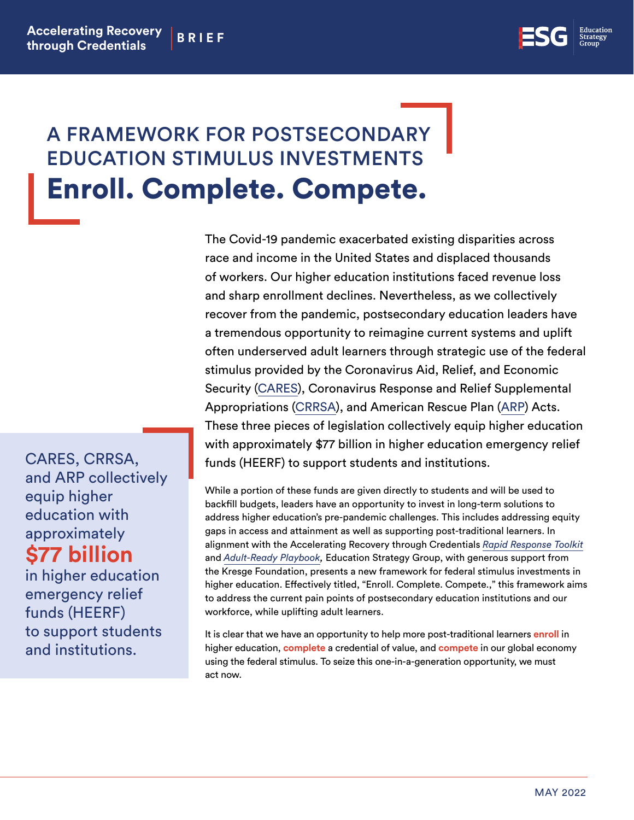

## A FRAMEWORK FOR POSTSECONDARY EDUCATION STIMULUS INVESTMENTS Enroll. Complete. Compete.

The Covid-19 pandemic exacerbated existing disparities across race and income in the United States and displaced thousands of workers. Our higher education institutions faced revenue loss and sharp enrollment declines. Nevertheless, as we collectively recover from the pandemic, postsecondary education leaders have a tremendous opportunity to reimagine current systems and uplift often underserved adult learners through strategic use of the federal stimulus provided by the Coronavirus Aid, Relief, and Economic Security [\(CARES\)](https://www2.ed.gov/about/offices/list/ope/caresact.html), Coronavirus Response and Relief Supplemental Appropriations [\(CRRSA\)](https://www2.ed.gov/about/offices/list/ope/crrsaa.html), and American Rescue Plan ([ARP\)](https://www2.ed.gov/about/offices/list/ope/arp.html) Acts. These three pieces of legislation collectively equip higher education with approximately \$77 billion in higher education emergency relief funds (HEERF) to support students and institutions.

While a portion of these funds are given directly to students and will be used to backfill budgets, leaders have an opportunity to invest in long-term solutions to address higher education's pre-pandemic challenges. This includes addressing equity gaps in access and attainment as well as supporting post-traditional learners. In alignment with the Accelerating Recovery through Credentials *[Rapid Response Toolkit](https://edstrategy.org/wp-content/uploads/2021/03/ARC_Rapid_Response_Toolkit_FINAL.pdf)* and *[Adult-Ready Playbook,](https://docs.google.com/document/d/1y2sP7xRT0TNW8YwhJMsN-lipkgx14bO8/edit)* Education Strategy Group, with generous support from the Kresge Foundation, presents a new framework for federal stimulus investments in higher education. Effectively titled, "Enroll. Complete. Compete.," this framework aims to address the current pain points of postsecondary education institutions and our workforce, while uplifting adult learners.

It is clear that we have an opportunity to help more post-traditional learners **enroll** in higher education, **complete** a credential of value, and **compete** in our global economy using the federal stimulus. To seize this one-in-a-generation opportunity, we must act now.

CARES, CRRSA, and ARP collectively equip higher education with approximately **\$77 billion**

in higher education emergency relief funds (HEERF) to support students and institutions.